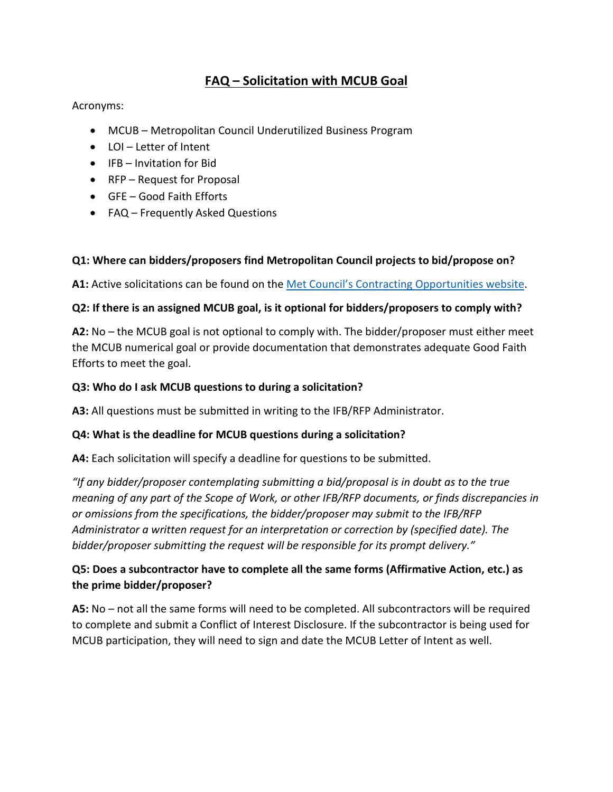# **FAQ – Solicitation with MCUB Goal**

#### Acronyms:

- MCUB Metropolitan Council Underutilized Business Program
- LOI Letter of Intent
- IFB Invitation for Bid
- RFP Request for Proposal
- GFE Good Faith Efforts
- FAQ Frequently Asked Questions

#### **Q1: Where can bidders/proposers find Metropolitan Council projects to bid/propose on?**

**A1:** Active solicitations can be found on the [Met Council's Contracting Opportunities website.](https://metrocouncil.org/About-Us/What-We-Do/DoingBusiness/Contracting-Opportunities.aspx?source=child)

#### **Q2: If there is an assigned MCUB goal, is it optional for bidders/proposers to comply with?**

**A2:** No – the MCUB goal is not optional to comply with. The bidder/proposer must either meet the MCUB numerical goal or provide documentation that demonstrates adequate Good Faith Efforts to meet the goal.

#### **Q3: Who do I ask MCUB questions to during a solicitation?**

**A3:** All questions must be submitted in writing to the IFB/RFP Administrator.

#### **Q4: What is the deadline for MCUB questions during a solicitation?**

**A4:** Each solicitation will specify a deadline for questions to be submitted.

*"If any bidder/proposer contemplating submitting a bid/proposal is in doubt as to the true meaning of any part of the Scope of Work, or other IFB/RFP documents, or finds discrepancies in or omissions from the specifications, the bidder/proposer may submit to the IFB/RFP Administrator a written request for an interpretation or correction by (specified date). The bidder/proposer submitting the request will be responsible for its prompt delivery."*

# **Q5: Does a subcontractor have to complete all the same forms (Affirmative Action, etc.) as the prime bidder/proposer?**

**A5:** No – not all the same forms will need to be completed. All subcontractors will be required to complete and submit a Conflict of Interest Disclosure. If the subcontractor is being used for MCUB participation, they will need to sign and date the MCUB Letter of Intent as well.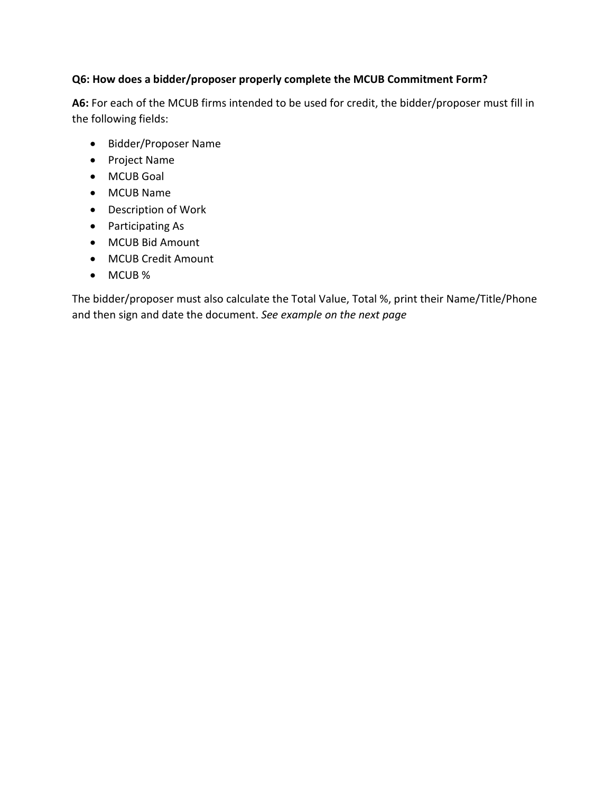#### **Q6: How does a bidder/proposer properly complete the MCUB Commitment Form?**

**A6:** For each of the MCUB firms intended to be used for credit, the bidder/proposer must fill in the following fields:

- Bidder/Proposer Name
- Project Name
- MCUB Goal
- MCUB Name
- Description of Work
- Participating As
- MCUB Bid Amount
- MCUB Credit Amount
- MCUB %

The bidder/proposer must also calculate the Total Value, Total %, print their Name/Title/Phone and then sign and date the document. *See example on the next page*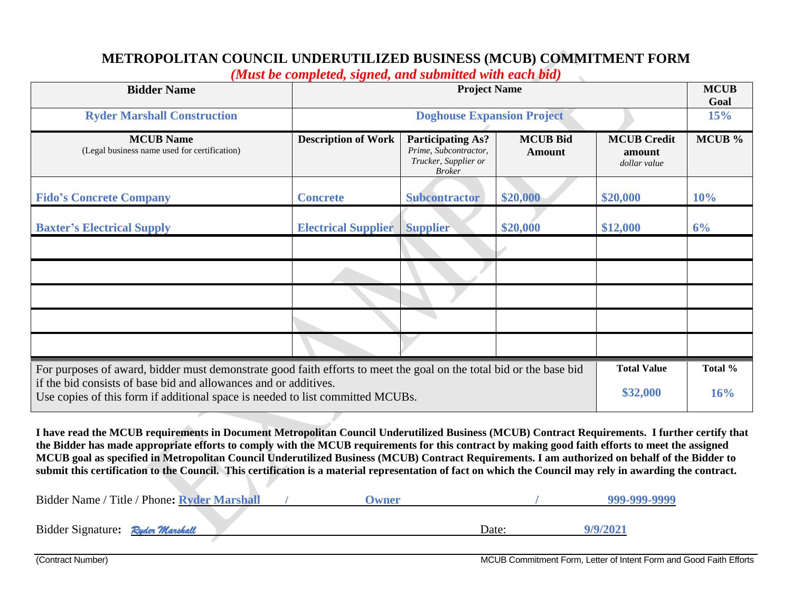# **METROPOLITAN COUNCIL UNDERUTILIZED BUSINESS (MCUB) COMMITMENT FORM**

*(Must be completed, signed, and submitted with each bid)*

| <b>Bidder Name</b>                                                                                                                                 | <u>hewse o'c completely signedy and swommed ware cached an</u><br><b>Project Name</b> |                                                                                            |                                  |                                              | <b>MCUB</b><br>Goal |
|----------------------------------------------------------------------------------------------------------------------------------------------------|---------------------------------------------------------------------------------------|--------------------------------------------------------------------------------------------|----------------------------------|----------------------------------------------|---------------------|
| <b>Ryder Marshall Construction</b>                                                                                                                 | <b>Doghouse Expansion Project</b>                                                     |                                                                                            |                                  |                                              | 15%                 |
| <b>MCUB</b> Name<br>(Legal business name used for certification)                                                                                   | <b>Description of Work</b>                                                            | <b>Participating As?</b><br>Prime, Subcontractor,<br>Trucker, Supplier or<br><b>Broker</b> | <b>MCUB Bid</b><br><b>Amount</b> | <b>MCUB Credit</b><br>amount<br>dollar value | MCUB %              |
| <b>Fido's Concrete Company</b>                                                                                                                     | <b>Concrete</b>                                                                       | <b>Subcontractor</b>                                                                       | \$20,000                         | \$20,000                                     | 10%                 |
| <b>Baxter's Electrical Supply</b>                                                                                                                  | <b>Electrical Supplier</b>                                                            | <b>Supplier</b>                                                                            | \$20,000                         | \$12,000                                     | 6%                  |
|                                                                                                                                                    |                                                                                       |                                                                                            |                                  |                                              |                     |
|                                                                                                                                                    |                                                                                       |                                                                                            |                                  |                                              |                     |
|                                                                                                                                                    |                                                                                       |                                                                                            |                                  |                                              |                     |
|                                                                                                                                                    |                                                                                       |                                                                                            |                                  |                                              |                     |
|                                                                                                                                                    |                                                                                       |                                                                                            |                                  |                                              |                     |
| For purposes of award, bidder must demonstrate good faith efforts to meet the goal on the total bid or the base bid                                |                                                                                       |                                                                                            |                                  |                                              | Total %             |
| if the bid consists of base bid and allowances and or additives.<br>Use copies of this form if additional space is needed to list committed MCUBs. |                                                                                       |                                                                                            | \$32,000                         | 16%                                          |                     |

**I have read the MCUB requirements in Document Metropolitan Council Underutilized Business (MCUB) Contract Requirements. I further certify that the Bidder has made appropriate efforts to comply with the MCUB requirements for this contract by making good faith efforts to meet the assigned MCUB goal as specified in Metropolitan Council Underutilized Business (MCUB) Contract Requirements. I am authorized on behalf of the Bidder to submit this certification to the Council. This certification is a material representation of fact on which the Council may rely in awarding the contract.**

|                                  | Bidder Name / Title / Phone: Ryder Marshall | <b>Jwner</b> |       | 999-999-9999 |
|----------------------------------|---------------------------------------------|--------------|-------|--------------|
| Bidder Signature: Ryder Marshall |                                             |              | Date: | 9/9/2021     |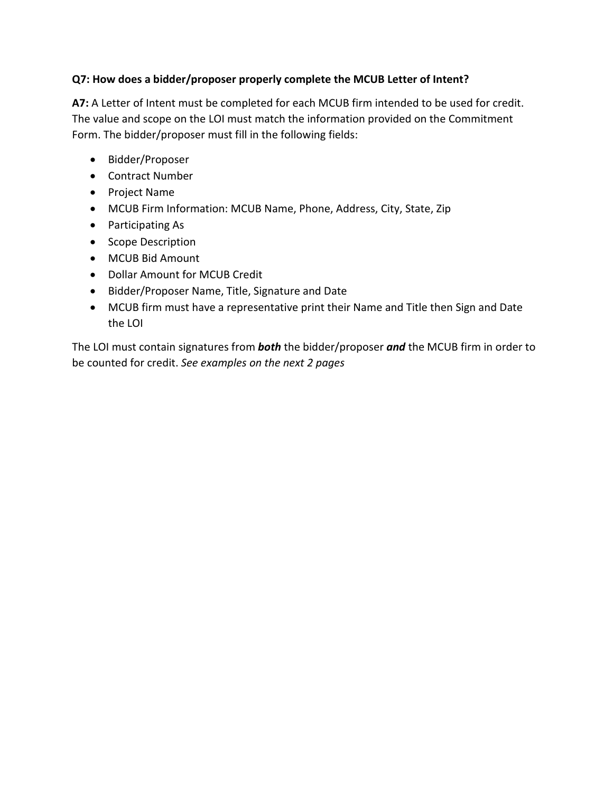#### **Q7: How does a bidder/proposer properly complete the MCUB Letter of Intent?**

**A7:** A Letter of Intent must be completed for each MCUB firm intended to be used for credit. The value and scope on the LOI must match the information provided on the Commitment Form. The bidder/proposer must fill in the following fields:

- Bidder/Proposer
- Contract Number
- Project Name
- MCUB Firm Information: MCUB Name, Phone, Address, City, State, Zip
- Participating As
- Scope Description
- MCUB Bid Amount
- Dollar Amount for MCUB Credit
- Bidder/Proposer Name, Title, Signature and Date
- MCUB firm must have a representative print their Name and Title then Sign and Date the LOI

The LOI must contain signatures from *both* the bidder/proposer *and* the MCUB firm in order to be counted for credit. *See examples on the next 2 pages*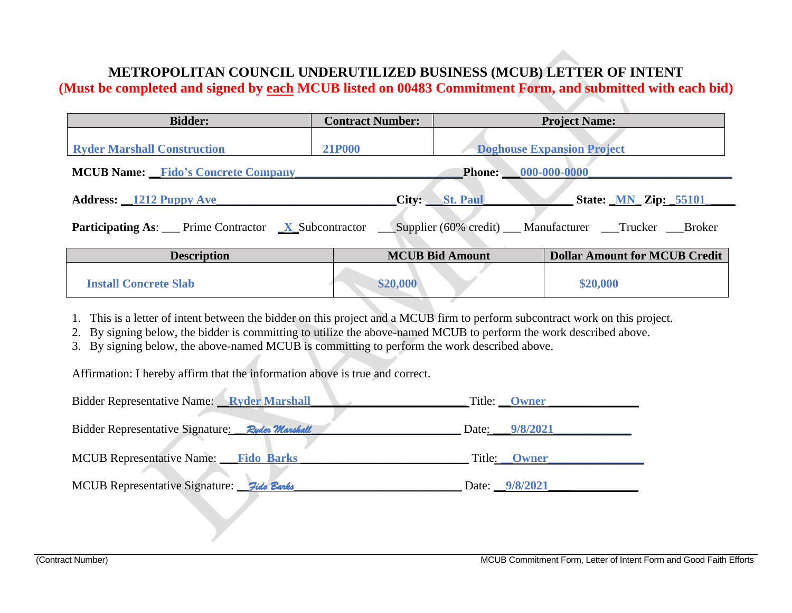# **METROPOLITAN COUNCIL UNDERUTILIZED BUSINESS (MCUB) LETTER OF INTENT**

**(Must be completed and signed by each MCUB listed on 00483 Commitment Form, and submitted with each bid)**

| <b>Bidder:</b>                                                                                                     | <b>Contract Number:</b>                            |                        | <b>Project Name:</b>                 |
|--------------------------------------------------------------------------------------------------------------------|----------------------------------------------------|------------------------|--------------------------------------|
| <b>Ryder Marshall Construction</b>                                                                                 | <b>21P000</b><br><b>Doghouse Expansion Project</b> |                        |                                      |
| <b>MCUB Name:</b> Fido's Concrete Company                                                                          |                                                    |                        | <b>Phone:</b> 000-000-0000           |
| <b>Address:</b> 1212 Puppy Ave                                                                                     |                                                    | City: St. Paul         | <b>State: <u>MN</u></b> Zip: 55101   |
| <b>Participating As:</b> Prime Contractor <u>X</u> Subcontractor Supplier (60% credit) Manufacturer Trucker Broker |                                                    |                        |                                      |
| <b>Description</b>                                                                                                 |                                                    | <b>MCUB Bid Amount</b> | <b>Dollar Amount for MCUB Credit</b> |
| <b>Install Concrete Slab</b>                                                                                       | \$20,000                                           |                        | \$20,000                             |

- 1. This is a letter of intent between the bidder on this project and a MCUB firm to perform subcontract work on this project.
- 2. By signing below, the bidder is committing to utilize the above-named MCUB to perform the work described above.
- 3. By signing below, the above-named MCUB is committing to perform the work described above.

Affirmation: I hereby affirm that the information above is true and correct.

| Bidder Representative Name: Ryder Marshall      | Title: <b>Owner</b> |
|-------------------------------------------------|---------------------|
| Bidder Representative Signature: Ryder Marshall | Date: 9/8/2021      |
| MCUB Representative Name: Fido Barks            | Title: Owner        |
| MCUB Representative Signature: 7ido Banks       | Date: 9/8/2021      |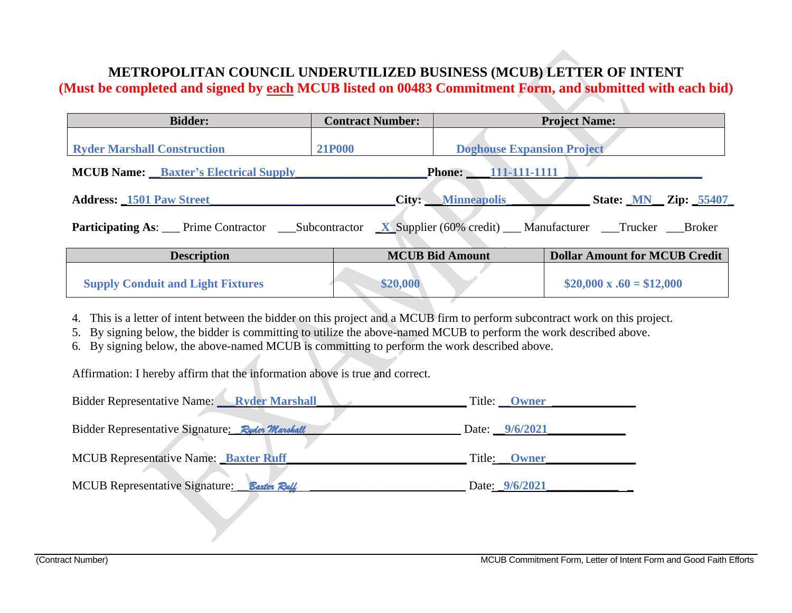# **METROPOLITAN COUNCIL UNDERUTILIZED BUSINESS (MCUB) LETTER OF INTENT**

**(Must be completed and signed by each MCUB listed on 00483 Commitment Form, and submitted with each bid)**

| <b>Bidder:</b>                                                             | <b>Contract Number:</b> |                                   | <b>Project Name:</b>                 |  |
|----------------------------------------------------------------------------|-------------------------|-----------------------------------|--------------------------------------|--|
| <b>Ryder Marshall Construction</b>                                         | <b>21P000</b>           | <b>Doghouse Expansion Project</b> |                                      |  |
| <b>Phone:</b> 111-111-1111<br><b>MCUB Name:</b> Baxter's Electrical Supply |                         |                                   |                                      |  |
| <b>Address: 1501 Paw Street</b>                                            |                         | City: Minneapolis                 | State: MN Zip: 55407                 |  |
|                                                                            |                         |                                   |                                      |  |
| <b>Description</b>                                                         |                         | <b>MCUB Bid Amount</b>            | <b>Dollar Amount for MCUB Credit</b> |  |
| <b>Supply Conduit and Light Fixtures</b>                                   | \$20,000                |                                   | $$20,000 \times .60 = $12,000$       |  |

4. This is a letter of intent between the bidder on this project and a MCUB firm to perform subcontract work on this project.

5. By signing below, the bidder is committing to utilize the above-named MCUB to perform the work described above.

6. By signing below, the above-named MCUB is committing to perform the work described above.

Affirmation: I hereby affirm that the information above is true and correct.

| Bidder Representative Name: Ryder Marshall      | Title: <b>Owner</b>   |
|-------------------------------------------------|-----------------------|
| Bidder Representative Signature: Ryder Marshall | Date: $9/6/2021$      |
| MCUB Representative Name: Baxter Ruff           | Title: <b>Owner</b>   |
| MCUB Representative Signature:<br>Baxter Ruff   | Date: <u>9/6/2021</u> |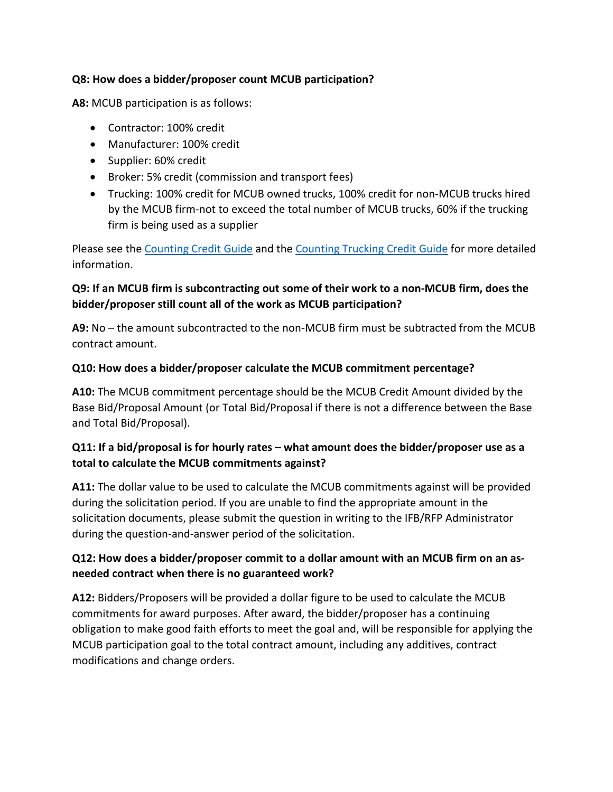#### **Q8: How does a bidder/proposer count MCUB participation?**

**A8:** MCUB participation is as follows:

- Contractor: 100% credit
- Manufacturer: 100% credit
- Supplier: 60% credit
- Broker: 5% credit (commission and transport fees)
- Trucking: 100% credit for MCUB owned trucks, 100% credit for non-MCUB trucks hired by the MCUB firm-not to exceed the total number of MCUB trucks, 60% if the trucking firm is being used as a supplier

Please see the [Counting Credit Guide](https://metrocouncil.org/About-Us/What-We-Do/DoingBusiness/Small-Business-Programs/Resources/Documents/DBE-Credit-Counting.aspx) and the [Counting Trucking Credit Guide](https://metrocouncil.org/About-Us/What-We-Do/DoingBusiness/Small-Business-Programs/Resources/Documents/DBE-Trucking-Credit-Reference-Guide.aspx) for more detailed information.

# **Q9: If an MCUB firm is subcontracting out some of their work to a non-MCUB firm, does the bidder/proposer still count all of the work as MCUB participation?**

**A9:** No – the amount subcontracted to the non-MCUB firm must be subtracted from the MCUB contract amount.

#### **Q10: How does a bidder/proposer calculate the MCUB commitment percentage?**

**A10:** The MCUB commitment percentage should be the MCUB Credit Amount divided by the Base Bid/Proposal Amount (or Total Bid/Proposal if there is not a difference between the Base and Total Bid/Proposal).

# **Q11: If a bid/proposal is for hourly rates – what amount does the bidder/proposer use as a total to calculate the MCUB commitments against?**

**A11:** The dollar value to be used to calculate the MCUB commitments against will be provided during the solicitation period. If you are unable to find the appropriate amount in the solicitation documents, please submit the question in writing to the IFB/RFP Administrator during the question-and-answer period of the solicitation.

# **Q12: How does a bidder/proposer commit to a dollar amount with an MCUB firm on an asneeded contract when there is no guaranteed work?**

**A12:** Bidders/Proposers will be provided a dollar figure to be used to calculate the MCUB commitments for award purposes. After award, the bidder/proposer has a continuing obligation to make good faith efforts to meet the goal and, will be responsible for applying the MCUB participation goal to the total contract amount, including any additives, contract modifications and change orders.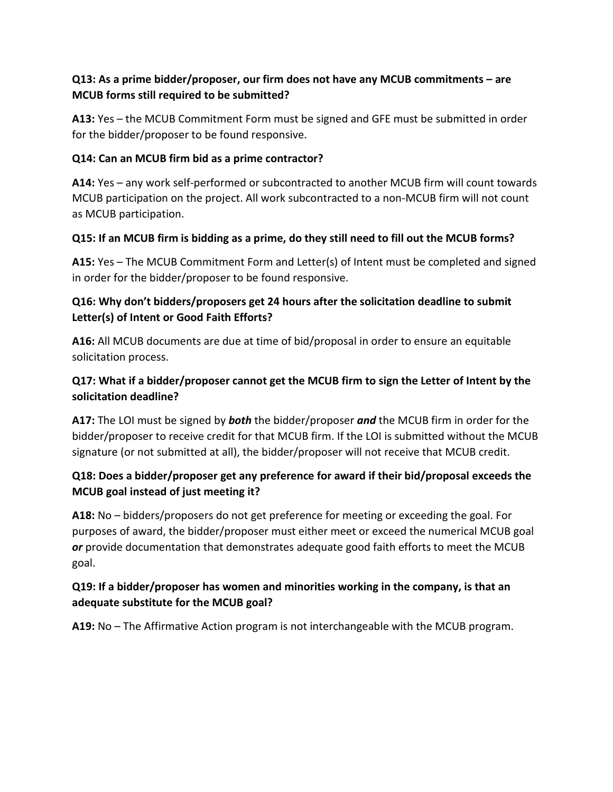# **Q13: As a prime bidder/proposer, our firm does not have any MCUB commitments – are MCUB forms still required to be submitted?**

**A13:** Yes – the MCUB Commitment Form must be signed and GFE must be submitted in order for the bidder/proposer to be found responsive.

#### **Q14: Can an MCUB firm bid as a prime contractor?**

**A14:** Yes – any work self-performed or subcontracted to another MCUB firm will count towards MCUB participation on the project. All work subcontracted to a non-MCUB firm will not count as MCUB participation.

#### **Q15: If an MCUB firm is bidding as a prime, do they still need to fill out the MCUB forms?**

**A15:** Yes – The MCUB Commitment Form and Letter(s) of Intent must be completed and signed in order for the bidder/proposer to be found responsive.

# **Q16: Why don't bidders/proposers get 24 hours after the solicitation deadline to submit Letter(s) of Intent or Good Faith Efforts?**

**A16:** All MCUB documents are due at time of bid/proposal in order to ensure an equitable solicitation process.

# **Q17: What if a bidder/proposer cannot get the MCUB firm to sign the Letter of Intent by the solicitation deadline?**

**A17:** The LOI must be signed by *both* the bidder/proposer *and* the MCUB firm in order for the bidder/proposer to receive credit for that MCUB firm. If the LOI is submitted without the MCUB signature (or not submitted at all), the bidder/proposer will not receive that MCUB credit.

# **Q18: Does a bidder/proposer get any preference for award if their bid/proposal exceeds the MCUB goal instead of just meeting it?**

**A18:** No – bidders/proposers do not get preference for meeting or exceeding the goal. For purposes of award, the bidder/proposer must either meet or exceed the numerical MCUB goal *or* provide documentation that demonstrates adequate good faith efforts to meet the MCUB goal.

# **Q19: If a bidder/proposer has women and minorities working in the company, is that an adequate substitute for the MCUB goal?**

**A19:** No – The Affirmative Action program is not interchangeable with the MCUB program.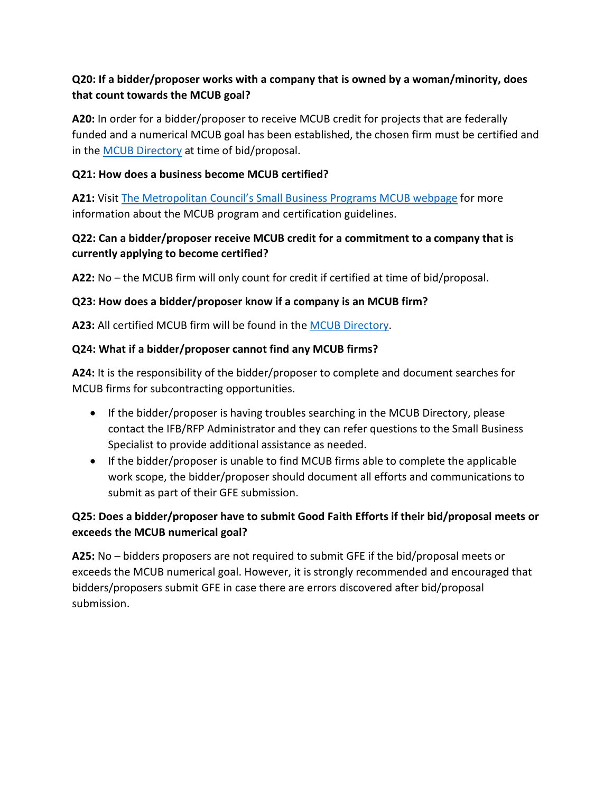### **Q20: If a bidder/proposer works with a company that is owned by a woman/minority, does that count towards the MCUB goal?**

**A20:** In order for a bidder/proposer to receive MCUB credit for projects that are federally funded and a numerical MCUB goal has been established, the chosen firm must be certified and in the [MCUB Directory](https://mcub.metc.state.mn.us/) at time of bid/proposal.

#### **Q21: How does a business become MCUB certified?**

**A21:** Visit [The Metropolitan Council's Small Business Programs MCUB](https://metrocouncil.org/About-Us/What-We-Do/DoingBusiness/Small-Business-Programs/mcub.aspx) webpage for more information about the MCUB program and certification guidelines.

# **Q22: Can a bidder/proposer receive MCUB credit for a commitment to a company that is currently applying to become certified?**

**A22:** No – the MCUB firm will only count for credit if certified at time of bid/proposal.

#### **Q23: How does a bidder/proposer know if a company is an MCUB firm?**

**A23:** All certified MCUB firm will be found in the [MCUB Directory.](https://mcub.metc.state.mn.us/)

#### **Q24: What if a bidder/proposer cannot find any MCUB firms?**

**A24:** It is the responsibility of the bidder/proposer to complete and document searches for MCUB firms for subcontracting opportunities.

- If the bidder/proposer is having troubles searching in the MCUB Directory, please contact the IFB/RFP Administrator and they can refer questions to the Small Business Specialist to provide additional assistance as needed.
- If the bidder/proposer is unable to find MCUB firms able to complete the applicable work scope, the bidder/proposer should document all efforts and communications to submit as part of their GFE submission.

# **Q25: Does a bidder/proposer have to submit Good Faith Efforts if their bid/proposal meets or exceeds the MCUB numerical goal?**

**A25:** No – bidders proposers are not required to submit GFE if the bid/proposal meets or exceeds the MCUB numerical goal. However, it is strongly recommended and encouraged that bidders/proposers submit GFE in case there are errors discovered after bid/proposal submission.